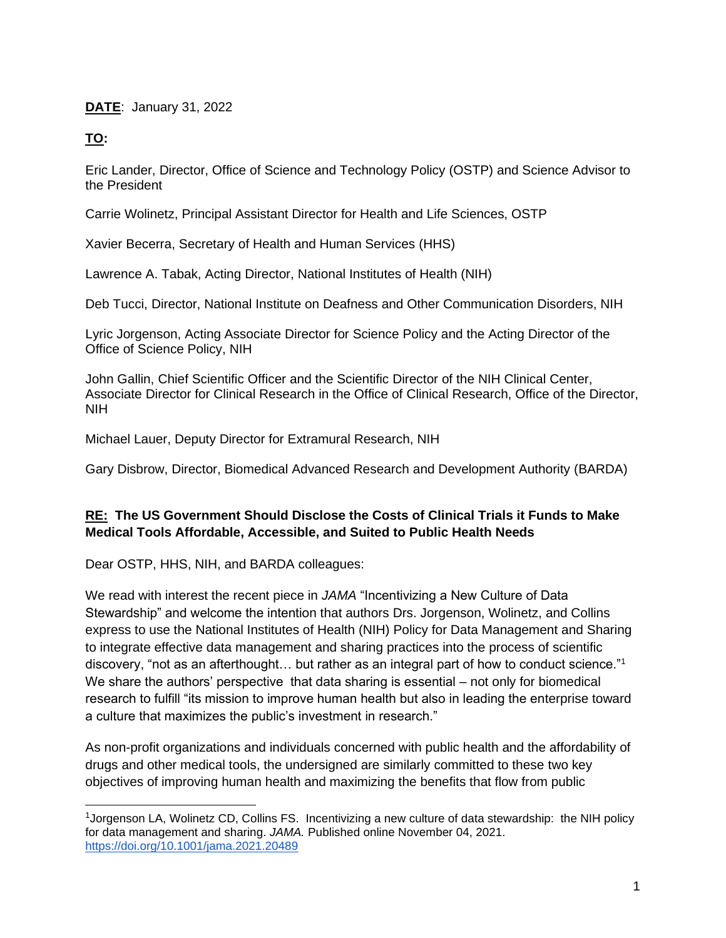#### **DATE**: January 31, 2022

### **TO:**

Eric Lander, Director, Office of Science and Technology Policy (OSTP) and Science Advisor to the President

Carrie Wolinetz, Principal Assistant Director for Health and Life Sciences, OSTP

Xavier Becerra, Secretary of Health and Human Services (HHS)

Lawrence A. Tabak, Acting Director, National Institutes of Health (NIH)

Deb Tucci, Director, National Institute on Deafness and Other Communication Disorders, NIH

Lyric Jorgenson, Acting Associate Director for Science Policy and the Acting Director of the Office of Science Policy, NIH

John Gallin, Chief Scientific Officer and the Scientific Director of the NIH Clinical Center, Associate Director for Clinical Research in the Office of Clinical Research, Office of the Director, NIH

Michael Lauer, Deputy Director for Extramural Research, NIH

Gary Disbrow, Director, Biomedical Advanced Research and Development Authority (BARDA)

## **RE: The US Government Should Disclose the Costs of Clinical Trials it Funds to Make Medical Tools Affordable, Accessible, and Suited to Public Health Needs**

Dear OSTP, HHS, NIH, and BARDA colleagues:

We read with interest the recent piece in *JAMA* "Incentivizing a New Culture of Data Stewardship" and welcome the intention that authors Drs. Jorgenson, Wolinetz, and Collins express to use the National Institutes of Health (NIH) Policy for Data Management and Sharing to integrate effective data management and sharing practices into the process of scientific discovery, "not as an afterthought... but rather as an integral part of how to conduct science."<sup>1</sup> We share the authors' perspective that data sharing is essential – not only for biomedical research to fulfill "its mission to improve human health but also in leading the enterprise toward a culture that maximizes the public's investment in research."

As non-profit organizations and individuals concerned with public health and the affordability of drugs and other medical tools, the undersigned are similarly committed to these two key objectives of improving human health and maximizing the benefits that flow from public

<sup>&</sup>lt;sup>1</sup>Jorgenson LA, Wolinetz CD, Collins FS. Incentivizing a new culture of data stewardship: the NIH policy for data management and sharing. *JAMA.* Published online November 04, 2021. <https://doi.org/10.1001/jama.2021.20489>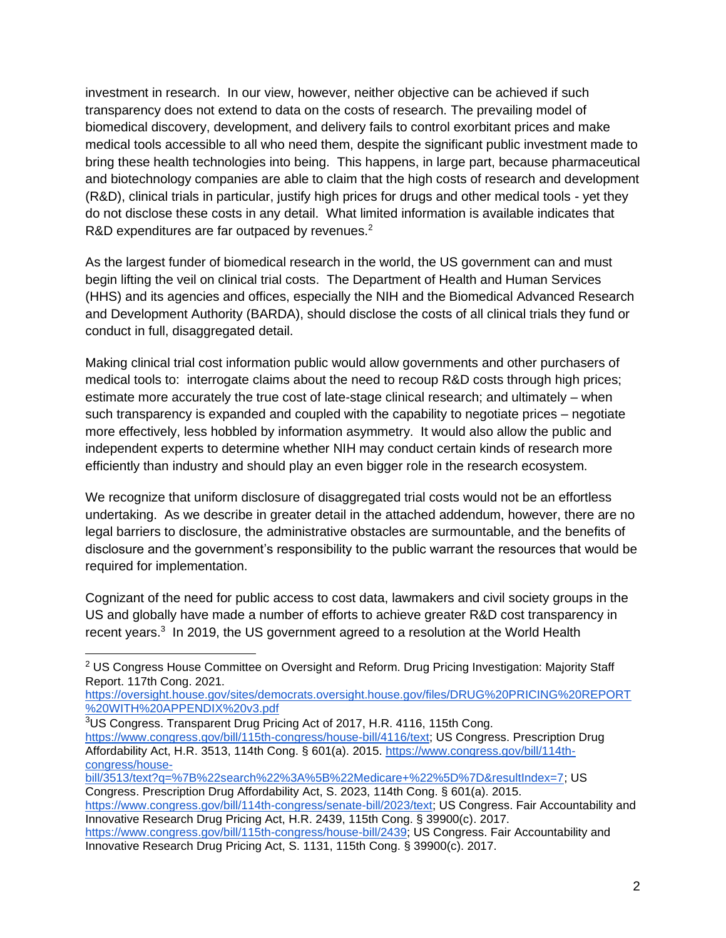investment in research. In our view, however, neither objective can be achieved if such transparency does not extend to data on the costs of research. The prevailing model of biomedical discovery, development, and delivery fails to control exorbitant prices and make medical tools accessible to all who need them, despite the significant public investment made to bring these health technologies into being. This happens, in large part, because pharmaceutical and biotechnology companies are able to claim that the high costs of research and development (R&D), clinical trials in particular, justify high prices for drugs and other medical tools - yet they do not disclose these costs in any detail. What limited information is available indicates that R&D expenditures are far outpaced by revenues. $2$ 

As the largest funder of biomedical research in the world, the US government can and must begin lifting the veil on clinical trial costs. The Department of Health and Human Services (HHS) and its agencies and offices, especially the NIH and the Biomedical Advanced Research and Development Authority (BARDA), should disclose the costs of all clinical trials they fund or conduct in full, disaggregated detail.

Making clinical trial cost information public would allow governments and other purchasers of medical tools to: interrogate claims about the need to recoup R&D costs through high prices; estimate more accurately the true cost of late-stage clinical research; and ultimately – when such transparency is expanded and coupled with the capability to negotiate prices – negotiate more effectively, less hobbled by information asymmetry. It would also allow the public and independent experts to determine whether NIH may conduct certain kinds of research more efficiently than industry and should play an even bigger role in the research ecosystem.

We recognize that uniform disclosure of disaggregated trial costs would not be an effortless undertaking. As we describe in greater detail in the attached addendum, however, there are no legal barriers to disclosure, the administrative obstacles are surmountable, and the benefits of disclosure and the government's responsibility to the public warrant the resources that would be required for implementation.

Cognizant of the need for public access to cost data, lawmakers and civil society groups in the US and globally have made a number of efforts to achieve greater R&D cost transparency in recent years.<sup>3</sup> In 2019, the US government agreed to a resolution at the World Health

[https://oversight.house.gov/sites/democrats.oversight.house.gov/files/DRUG%20PRICING%20REPORT](https://oversight.house.gov/sites/democrats.oversight.house.gov/files/DRUG%20PRICING%20REPORT%20WITH%20APPENDIX%20v3.pdf) [%20WITH%20APPENDIX%20v3.pdf](https://oversight.house.gov/sites/democrats.oversight.house.gov/files/DRUG%20PRICING%20REPORT%20WITH%20APPENDIX%20v3.pdf)

<sup>3</sup>US Congress. Transparent Drug Pricing Act of 2017, H.R. 4116, 115th Cong. [https://www.congress.gov/bill/115th-congress/house-bill/4116/text;](https://www.congress.gov/bill/115th-congress/house-bill/4116/text) US Congress. Prescription Drug Affordability Act, H.R. 3513, 114th Cong. § 601(a). 2015. [https://www.congress.gov/bill/114th](https://www.congress.gov/bill/114th-congress/house-bill/3513/text?q=%7B%22search%22%3A%5B%22Medicare+%22%5D%7D&resultIndex=7)[congress/house-](https://www.congress.gov/bill/114th-congress/house-bill/3513/text?q=%7B%22search%22%3A%5B%22Medicare+%22%5D%7D&resultIndex=7)

[bill/3513/text?q=%7B%22search%22%3A%5B%22Medicare+%22%5D%7D&resultIndex=7;](https://www.congress.gov/bill/114th-congress/house-bill/3513/text?q=%7B%22search%22%3A%5B%22Medicare+%22%5D%7D&resultIndex=7) [US](https://www.congress.gov/bill/114th-congress/senate-bill/2023/text)  [Congress. Prescription Drug Affordability Act, S. 2023, 114th Cong. § 601\(a\). 2015.](https://www.congress.gov/bill/114th-congress/senate-bill/2023/text) 

<sup>&</sup>lt;sup>2</sup> US Congress House Committee on Oversight and Reform. Drug Pricing Investigation: Majority Staff Report. 117th Cong. 2021.

[https://www.congress.gov/bill/114th-congress/senate-bill/2023/text;](https://www.congress.gov/bill/114th-congress/senate-bill/2023/text) [US Congress. Fair Accountability and](https://www.congress.gov/bill/115th-congress/house-bill/2439)  [Innovative Research Drug Pricing Act, H.R. 2439, 115th Cong. § 39900\(c\). 2017.](https://www.congress.gov/bill/115th-congress/house-bill/2439)  [https://www.congress.gov/bill/115th-congress/house-bill/2439;](https://www.congress.gov/bill/115th-congress/house-bill/2439) [US Congress. Fair Accountability and](https://www.congress.gov/bill/115th-congress/senate-bill/1131/text)  [Innovative Research Drug Pricing Act, S. 1131, 115th Cong. § 39900\(c\). 2017.](https://www.congress.gov/bill/115th-congress/senate-bill/1131/text)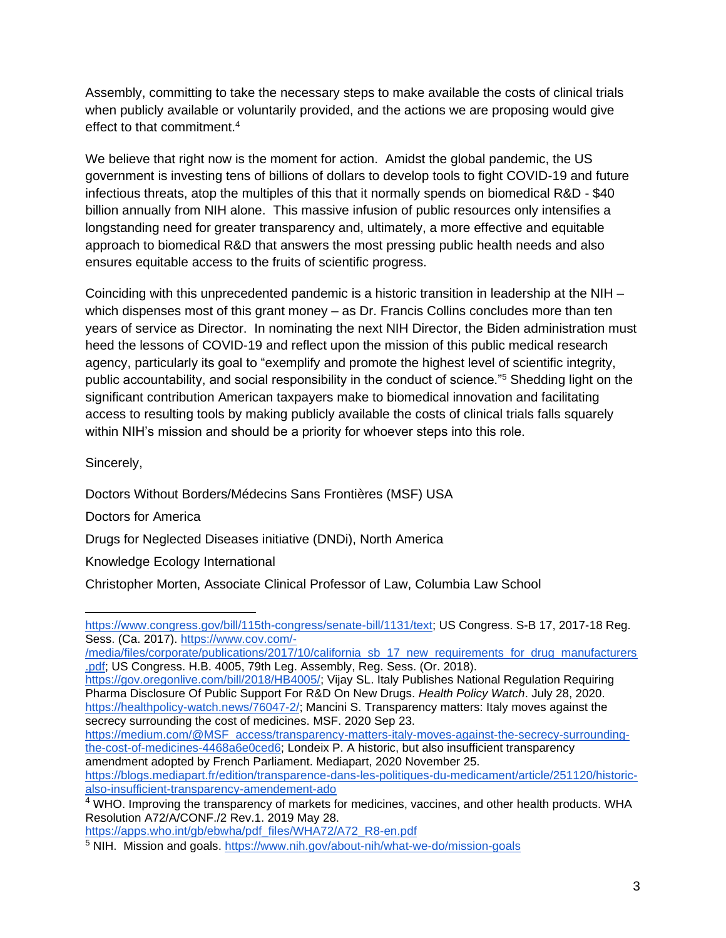Assembly, committing to take the necessary steps to make available the costs of clinical trials when publicly available or voluntarily provided, and the actions we are proposing would give effect to that commitment.<sup>4</sup>

We believe that right now is the moment for action. Amidst the global pandemic, the US government is investing tens of billions of dollars to develop tools to fight COVID-19 and future infectious threats, atop the multiples of this that it normally spends on biomedical R&D - \$40 billion annually from NIH alone. This massive infusion of public resources only intensifies a longstanding need for greater transparency and, ultimately, a more effective and equitable approach to biomedical R&D that answers the most pressing public health needs and also ensures equitable access to the fruits of scientific progress.

Coinciding with this unprecedented pandemic is a historic transition in leadership at the NIH – which dispenses most of this grant money – as Dr. Francis Collins concludes more than ten years of service as Director. In nominating the next NIH Director, the Biden administration must heed the lessons of COVID-19 and reflect upon the mission of this public medical research agency, particularly its goal to "exemplify and promote the highest level of scientific integrity, public accountability, and social responsibility in the conduct of science."<sup>5</sup> Shedding light on the significant contribution American taxpayers make to biomedical innovation and facilitating access to resulting tools by making publicly available the costs of clinical trials falls squarely within NIH's mission and should be a priority for whoever steps into this role.

Sincerely,

Doctors Without Borders/Médecins Sans Frontières (MSF) USA Doctors for America Drugs for Neglected Diseases initiative (DNDi), North America Knowledge Ecology International

[/media/files/corporate/publications/2017/10/california\\_sb\\_17\\_new\\_requirements\\_for\\_drug\\_manufacturers](https://www.cov.com/-/media/files/corporate/publications/2017/10/california_sb_17_new_requirements_for_drug_manufacturers.pdf) [.pdf;](https://www.cov.com/-/media/files/corporate/publications/2017/10/california_sb_17_new_requirements_for_drug_manufacturers.pdf) [US Congress. H.B. 4005, 79th Leg. Assembly, Reg. Sess. \(Or. 2018\).](https://gov.oregonlive.com/bill/2018/HB4005/) 

[https://gov.oregonlive.com/bill/2018/HB4005/;](https://gov.oregonlive.com/bill/2018/HB4005/) Vijay SL. Italy Publishes National Regulation Requiring Pharma Disclosure Of Public Support For R&D On New Drugs. *Health Policy Watch*. July 28, 2020. [https://healthpolicy-watch.news/76047-2/;](https://healthpolicy-watch.news/76047-2/) Mancini S. Transparency matters: Italy moves against the [secrecy surrounding the cost of medicines. MSF. 2020 Sep 23.](https://medium.com/@MSF_access/transparency-matters-italy-moves-against-the-secrecy-surrounding-the-cost-of-medicines-4468a6e0ced6) 

[https://medium.com/@MSF\\_access/transparency-matters-italy-moves-against-the-secrecy-surrounding](https://medium.com/@MSF_access/transparency-matters-italy-moves-against-the-secrecy-surrounding-the-cost-of-medicines-4468a6e0ced6)[the-cost-of-medicines-4468a6e0ced6;](https://medium.com/@MSF_access/transparency-matters-italy-moves-against-the-secrecy-surrounding-the-cost-of-medicines-4468a6e0ced6) [Londeix P. A historic, but also insufficient transparency](https://blogs.mediapart.fr/edition/transparence-dans-les-politiques-du-medicament/article/251120/historic-also-insufficient-transparency-amendement-ado)  [amendment adopted by French Parliament. Mediapart, 2020 November 25.](https://blogs.mediapart.fr/edition/transparence-dans-les-politiques-du-medicament/article/251120/historic-also-insufficient-transparency-amendement-ado)  [https://blogs.mediapart.fr/edition/transparence-dans-les-politiques-du-medicament/article/251120/historic-](https://blogs.mediapart.fr/edition/transparence-dans-les-politiques-du-medicament/article/251120/historic-also-insufficient-transparency-amendement-ado)

[also-insufficient-transparency-amendement-ado](https://blogs.mediapart.fr/edition/transparence-dans-les-politiques-du-medicament/article/251120/historic-also-insufficient-transparency-amendement-ado)

[https://apps.who.int/gb/ebwha/pdf\\_files/WHA72/A72\\_R8-en.pdf](https://apps.who.int/gb/ebwha/pdf_files/WHA72/A72_R8-en.pdf)

Christopher Morten, Associate Clinical Professor of Law, Columbia Law School

[https://www.congress.gov/bill/115th-congress/senate-bill/1131/text;](https://www.congress.gov/bill/115th-congress/senate-bill/1131/text) [US Congress. S-B 17, 2017-18 Reg.](https://www.cov.com/-/media/files/corporate/publications/2017/10/california_sb_17_new_requirements_for_drug_manufacturers.pdf)  [Sess. \(Ca. 2017\). https://www.cov.com/-](https://www.cov.com/-/media/files/corporate/publications/2017/10/california_sb_17_new_requirements_for_drug_manufacturers.pdf)

<sup>&</sup>lt;sup>4</sup> WHO. Improving the transparency of markets for medicines, vaccines, and other health products. WHA Resolution A72/A/CONF./2 Rev.1. 2019 May 28.

<sup>5</sup> NIH. Mission and goals.<https://www.nih.gov/about-nih/what-we-do/mission-goals>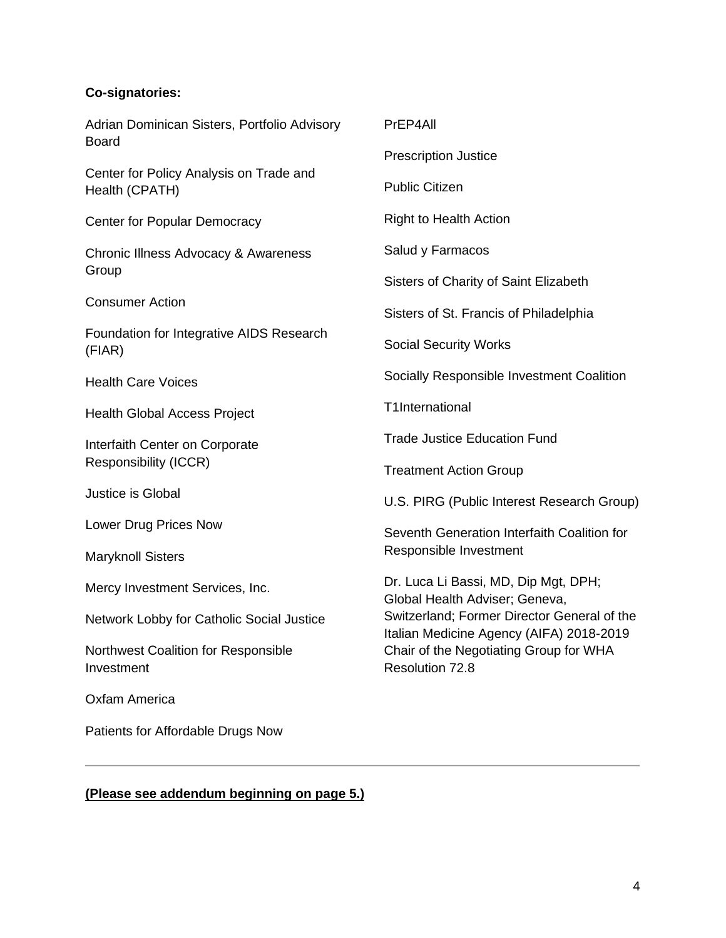## **Co-signatories:**

| Adrian Dominican Sisters, Portfolio Advisory<br><b>Board</b> | PrEP4All                                                                                                                                                                                                                       |
|--------------------------------------------------------------|--------------------------------------------------------------------------------------------------------------------------------------------------------------------------------------------------------------------------------|
|                                                              | <b>Prescription Justice</b>                                                                                                                                                                                                    |
| Center for Policy Analysis on Trade and<br>Health (CPATH)    | <b>Public Citizen</b>                                                                                                                                                                                                          |
| <b>Center for Popular Democracy</b>                          | <b>Right to Health Action</b>                                                                                                                                                                                                  |
| Chronic Illness Advocacy & Awareness<br>Group                | Salud y Farmacos                                                                                                                                                                                                               |
|                                                              | Sisters of Charity of Saint Elizabeth                                                                                                                                                                                          |
| <b>Consumer Action</b>                                       | Sisters of St. Francis of Philadelphia                                                                                                                                                                                         |
| Foundation for Integrative AIDS Research<br>(FIAR)           | <b>Social Security Works</b>                                                                                                                                                                                                   |
| <b>Health Care Voices</b>                                    | Socially Responsible Investment Coalition                                                                                                                                                                                      |
| <b>Health Global Access Project</b>                          | T1International                                                                                                                                                                                                                |
| Interfaith Center on Corporate<br>Responsibility (ICCR)      | <b>Trade Justice Education Fund</b>                                                                                                                                                                                            |
|                                                              | <b>Treatment Action Group</b>                                                                                                                                                                                                  |
| Justice is Global                                            | U.S. PIRG (Public Interest Research Group)                                                                                                                                                                                     |
| Lower Drug Prices Now                                        | Seventh Generation Interfaith Coalition for<br>Responsible Investment                                                                                                                                                          |
| <b>Maryknoll Sisters</b>                                     |                                                                                                                                                                                                                                |
| Mercy Investment Services, Inc.                              | Dr. Luca Li Bassi, MD, Dip Mgt, DPH;<br>Global Health Adviser; Geneva,<br>Switzerland; Former Director General of the<br>Italian Medicine Agency (AIFA) 2018-2019<br>Chair of the Negotiating Group for WHA<br>Resolution 72.8 |
| Network Lobby for Catholic Social Justice                    |                                                                                                                                                                                                                                |
| <b>Northwest Coalition for Responsible</b><br>Investment     |                                                                                                                                                                                                                                |

Oxfam America

Patients for Affordable Drugs Now

**(Please see addendum beginning on page 5.)**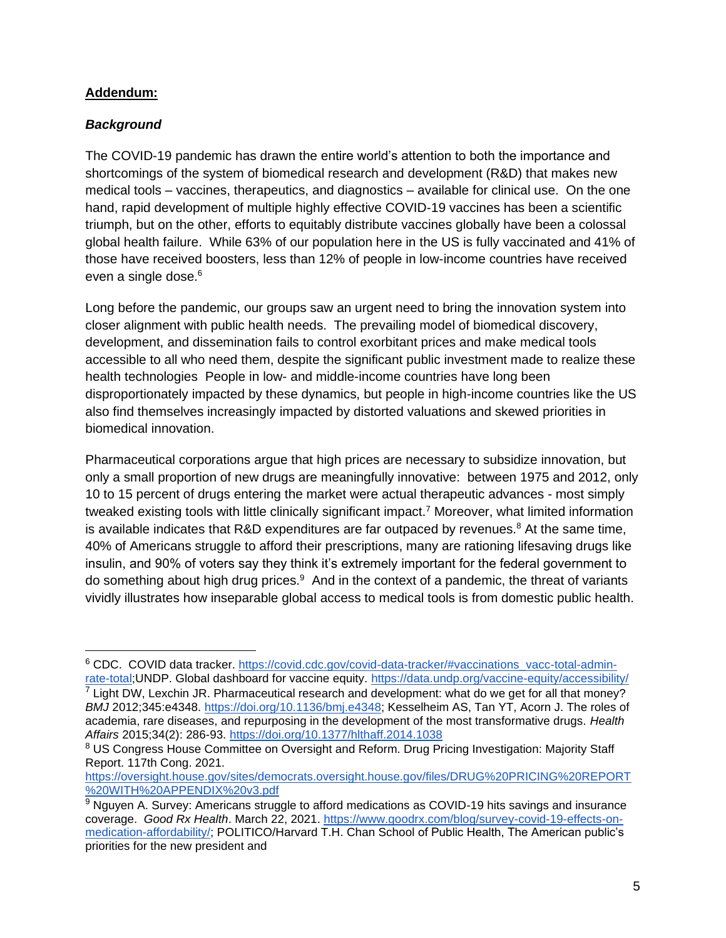#### **Addendum:**

#### *Background*

The COVID-19 pandemic has drawn the entire world's attention to both the importance and shortcomings of the system of biomedical research and development (R&D) that makes new medical tools – vaccines, therapeutics, and diagnostics – available for clinical use. On the one hand, rapid development of multiple highly effective COVID-19 vaccines has been a scientific triumph, but on the other, efforts to equitably distribute vaccines globally have been a colossal global health failure. While 63% of our population here in the US is fully vaccinated and 41% of those have received boosters, less than 12% of people in low-income countries have received even a single dose.<sup>6</sup>

Long before the pandemic, our groups saw an urgent need to bring the innovation system into closer alignment with public health needs. The prevailing model of biomedical discovery, development, and dissemination fails to control exorbitant prices and make medical tools accessible to all who need them, despite the significant public investment made to realize these health technologies People in low- and middle-income countries have long been disproportionately impacted by these dynamics, but people in high-income countries like the US also find themselves increasingly impacted by distorted valuations and skewed priorities in biomedical innovation.

Pharmaceutical corporations argue that high prices are necessary to subsidize innovation, but only a small proportion of new drugs are meaningfully innovative: between 1975 and 2012, only 10 to 15 percent of drugs entering the market were actual therapeutic advances - most simply tweaked existing tools with little clinically significant impact.<sup>7</sup> Moreover, what limited information is available indicates that R&D expenditures are far outpaced by revenues.<sup>8</sup> At the same time, 40% of Americans struggle to afford their prescriptions, many are rationing lifesaving drugs like insulin, and 90% of voters say they think it's extremely important for the federal government to do something about high drug prices.<sup>9</sup> And in the context of a pandemic, the threat of variants vividly illustrates how inseparable global access to medical tools is from domestic public health.

<sup>6</sup> CDC. COVID data tracker. [https://covid.cdc.gov/covid-data-tracker/#vaccinations\\_vacc-total-admin](https://covid.cdc.gov/covid-data-tracker/#vaccinations_vacc-total-admin-rate-total)[rate-total;](https://covid.cdc.gov/covid-data-tracker/#vaccinations_vacc-total-admin-rate-total)UNDP. Global dashboard for vaccine equity.<https://data.undp.org/vaccine-equity/accessibility/>  $<sup>7</sup>$  Light DW, Lexchin JR. Pharmaceutical research and development: what do we get for all that money?</sup> *BMJ* 2012;345:e4348. [https://doi.org/10.1136/bmj.e4348;](https://doi.org/10.1136/bmj.e4348) Kesselheim AS, Tan YT, Acorn J. The roles of academia, rare diseases, and repurposing in the development of the most transformative drugs. *Health Affairs* 2015;34(2): 286-93.<https://doi.org/10.1377/hlthaff.2014.1038>

<sup>&</sup>lt;sup>8</sup> US Congress House Committee on Oversight and Reform. Drug Pricing Investigation: Majority Staff Report. 117th Cong. 2021.

[https://oversight.house.gov/sites/democrats.oversight.house.gov/files/DRUG%20PRICING%20REPORT](https://oversight.house.gov/sites/democrats.oversight.house.gov/files/DRUG%20PRICING%20REPORT%20WITH%20APPENDIX%20v3.pdf) [%20WITH%20APPENDIX%20v3.pdf](https://oversight.house.gov/sites/democrats.oversight.house.gov/files/DRUG%20PRICING%20REPORT%20WITH%20APPENDIX%20v3.pdf)

<sup>&</sup>lt;sup>9</sup> Nguyen A. Survey: Americans struggle to afford medications as COVID-19 hits savings and insurance coverage. *Good Rx Health*. March 22, 2021. [https://www.goodrx.com/blog/survey-covid-19-effects-on](https://www.goodrx.com/blog/survey-covid-19-effects-on-medication-affordability/)[medication-affordability/;](https://www.goodrx.com/blog/survey-covid-19-effects-on-medication-affordability/) POLITICO/Harvard T.H. Chan School of Public Health, The American public's priorities for the new president and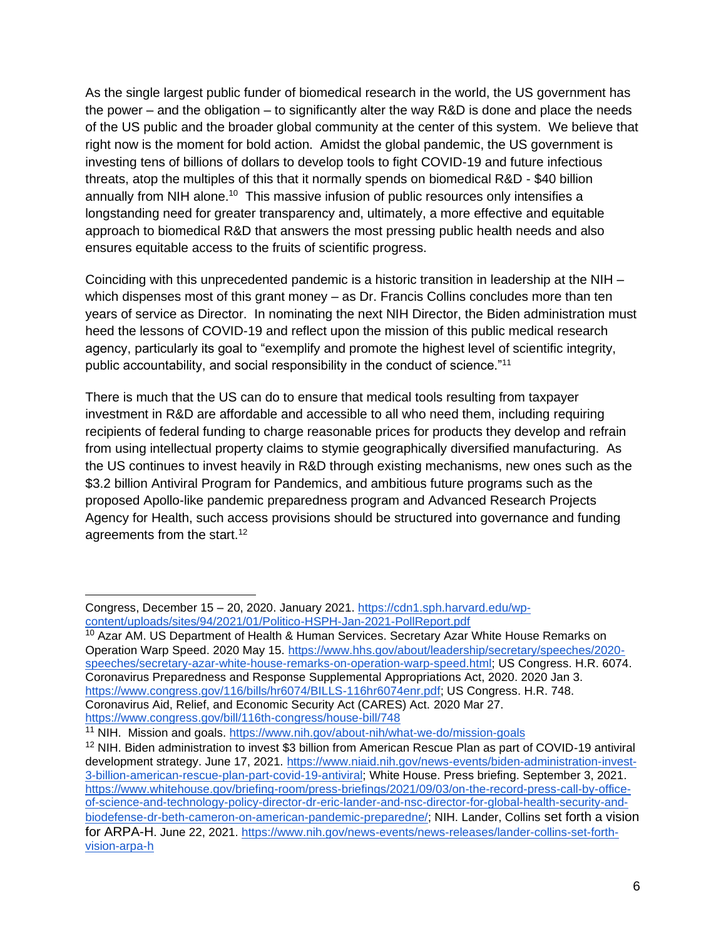As the single largest public funder of biomedical research in the world, the US government has the power – and the obligation – to significantly alter the way R&D is done and place the needs of the US public and the broader global community at the center of this system. We believe that right now is the moment for bold action. Amidst the global pandemic, the US government is investing tens of billions of dollars to develop tools to fight COVID-19 and future infectious threats, atop the multiples of this that it normally spends on biomedical R&D - \$40 billion annually from NIH alone.<sup>10</sup> This massive infusion of public resources only intensifies a longstanding need for greater transparency and, ultimately, a more effective and equitable approach to biomedical R&D that answers the most pressing public health needs and also ensures equitable access to the fruits of scientific progress.

Coinciding with this unprecedented pandemic is a historic transition in leadership at the NIH – which dispenses most of this grant money – as Dr. Francis Collins concludes more than ten years of service as Director. In nominating the next NIH Director, the Biden administration must heed the lessons of COVID-19 and reflect upon the mission of this public medical research agency, particularly its goal to "exemplify and promote the highest level of scientific integrity, public accountability, and social responsibility in the conduct of science."<sup>11</sup>

There is much that the US can do to ensure that medical tools resulting from taxpayer investment in R&D are affordable and accessible to all who need them, including requiring recipients of federal funding to charge reasonable prices for products they develop and refrain from using intellectual property claims to stymie geographically diversified manufacturing. As the US continues to invest heavily in R&D through existing mechanisms, new ones such as the \$3.2 billion Antiviral Program for Pandemics, and ambitious future programs such as the proposed Apollo-like pandemic preparedness program and Advanced Research Projects Agency for Health, such access provisions should be structured into governance and funding agreements from the start.<sup>12</sup>

Congress, December 15 – 20, 2020. January 2021. [https://cdn1.sph.harvard.edu/wp](https://cdn1.sph.harvard.edu/wp-content/uploads/sites/94/2021/01/Politico-HSPH-Jan-2021-PollReport.pdf)[content/uploads/sites/94/2021/01/Politico-HSPH-Jan-2021-PollReport.pdf](https://cdn1.sph.harvard.edu/wp-content/uploads/sites/94/2021/01/Politico-HSPH-Jan-2021-PollReport.pdf)

 $10$  Azar AM. US Department of Health & Human Services. Secretary Azar White House Remarks on Operation Warp Speed. 2020 May 15. [https://www.hhs.gov/about/leadership/secretary/speeches/2020](https://www.hhs.gov/about/leadership/secretary/speeches/2020-speeches/secretary-azar-white-house-remarks-on-operation-warp-speed.html) [speeches/secretary-azar-white-house-remarks-on-operation-warp-speed.html;](https://www.hhs.gov/about/leadership/secretary/speeches/2020-speeches/secretary-azar-white-house-remarks-on-operation-warp-speed.html) [US Congress. H.R. 6074.](https://www.congress.gov/116/bills/hr6074/BILLS-116hr6074enr.pdf)  [Coronavirus Preparedness and Response Supplemental Appropriations Act, 2020. 2020 Jan 3.](https://www.congress.gov/116/bills/hr6074/BILLS-116hr6074enr.pdf)  [https://www.congress.gov/116/bills/hr6074/BILLS-116hr6074enr.pdf;](https://www.congress.gov/116/bills/hr6074/BILLS-116hr6074enr.pdf) [US Congress. H.R. 748.](https://www.congress.gov/bill/116th-congress/house-bill/748)  [Coronavirus Aid, Relief, and Economic Security Act \(CARES\) Act. 2020 Mar 27.](https://www.congress.gov/bill/116th-congress/house-bill/748)  <https://www.congress.gov/bill/116th-congress/house-bill/748>

<sup>11</sup> NIH. Mission and goals.<https://www.nih.gov/about-nih/what-we-do/mission-goals>

<sup>&</sup>lt;sup>12</sup> NIH. Biden administration to invest \$3 billion from American Rescue Plan as part of COVID-19 antiviral development strategy. June 17, 2021. [https://www.niaid.nih.gov/news-events/biden-administration-invest-](https://www.niaid.nih.gov/news-events/biden-administration-invest-3-billion-american-rescue-plan-part-covid-19-antiviral)[3-billion-american-rescue-plan-part-covid-19-antiviral;](https://www.niaid.nih.gov/news-events/biden-administration-invest-3-billion-american-rescue-plan-part-covid-19-antiviral) White House. Press briefing. September 3, 2021. [https://www.whitehouse.gov/briefing-room/press-briefings/2021/09/03/on-the-record-press-call-by-office](https://www.whitehouse.gov/briefing-room/press-briefings/2021/09/03/on-the-record-press-call-by-office-of-science-and-technology-policy-director-dr-eric-lander-and-nsc-director-for-global-health-security-and-biodefense-dr-beth-cameron-on-american-pandemic-preparedne/)[of-science-and-technology-policy-director-dr-eric-lander-and-nsc-director-for-global-health-security-and](https://www.whitehouse.gov/briefing-room/press-briefings/2021/09/03/on-the-record-press-call-by-office-of-science-and-technology-policy-director-dr-eric-lander-and-nsc-director-for-global-health-security-and-biodefense-dr-beth-cameron-on-american-pandemic-preparedne/)[biodefense-dr-beth-cameron-on-american-pandemic-preparedne/;](https://www.whitehouse.gov/briefing-room/press-briefings/2021/09/03/on-the-record-press-call-by-office-of-science-and-technology-policy-director-dr-eric-lander-and-nsc-director-for-global-health-security-and-biodefense-dr-beth-cameron-on-american-pandemic-preparedne/) NIH. Lander, Collins set forth a vision for ARPA-H. June 22, 2021. [https://www.nih.gov/news-events/news-releases/lander-collins-set-forth](https://www.nih.gov/news-events/news-releases/lander-collins-set-forth-vision-arpa-h)[vision-arpa-h](https://www.nih.gov/news-events/news-releases/lander-collins-set-forth-vision-arpa-h)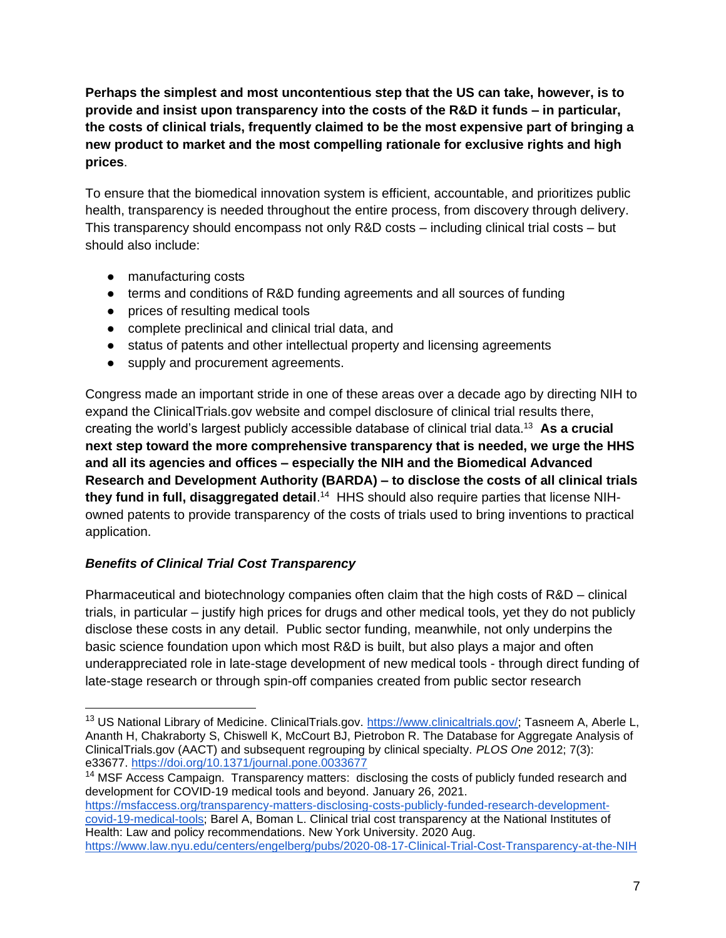**Perhaps the simplest and most uncontentious step that the US can take, however, is to provide and insist upon transparency into the costs of the R&D it funds – in particular, the costs of clinical trials, frequently claimed to be the most expensive part of bringing a new product to market and the most compelling rationale for exclusive rights and high prices**.

To ensure that the biomedical innovation system is efficient, accountable, and prioritizes public health, transparency is needed throughout the entire process, from discovery through delivery. This transparency should encompass not only R&D costs – including clinical trial costs – but should also include:

- manufacturing costs
- terms and conditions of R&D funding agreements and all sources of funding
- prices of resulting medical tools
- complete preclinical and clinical trial data, and
- status of patents and other intellectual property and licensing agreements
- supply and procurement agreements.

Congress made an important stride in one of these areas over a decade ago by directing NIH to expand the ClinicalTrials.gov website and compel disclosure of clinical trial results there, creating the world's largest publicly accessible database of clinical trial data.<sup>13</sup> **As a crucial next step toward the more comprehensive transparency that is needed, we urge the HHS and all its agencies and offices – especially the NIH and the Biomedical Advanced Research and Development Authority (BARDA) – to disclose the costs of all clinical trials**  they fund in full, disaggregated detail.<sup>14</sup> HHS should also require parties that license NIHowned patents to provide transparency of the costs of trials used to bring inventions to practical application.

# *Benefits of Clinical Trial Cost Transparency*

Pharmaceutical and biotechnology companies often claim that the high costs of R&D – clinical trials, in particular – justify high prices for drugs and other medical tools, yet they do not publicly disclose these costs in any detail. Public sector funding, meanwhile, not only underpins the basic science foundation upon which most R&D is built, but also plays a major and often underappreciated role in late-stage development of new medical tools - through direct funding of late-stage research or through spin-off companies created from public sector research

<sup>14</sup> MSF Access Campaign. Transparency matters: disclosing the costs of publicly funded research and development for COVID-19 medical tools and beyond. January 26, 2021. [https://msfaccess.org/transparency-matters-disclosing-costs-publicly-funded-research-development-](https://msfaccess.org/transparency-matters-disclosing-costs-publicly-funded-research-development-covid-19-medical-tools)

[covid-19-medical-tools;](https://msfaccess.org/transparency-matters-disclosing-costs-publicly-funded-research-development-covid-19-medical-tools) [Barel A, Boman L. Clinical trial cost transparency at the National Institutes of](https://www.law.nyu.edu/centers/engelberg/pubs/2020-08-17-Clinical-Trial-Cost-Transparency-at-the-NIH)  [Health: Law and policy recommendations. New York University. 2020 Aug.](https://www.law.nyu.edu/centers/engelberg/pubs/2020-08-17-Clinical-Trial-Cost-Transparency-at-the-NIH)  <https://www.law.nyu.edu/centers/engelberg/pubs/2020-08-17-Clinical-Trial-Cost-Transparency-at-the-NIH>

<sup>&</sup>lt;sup>13</sup> US National Library of Medicine. ClinicalTrials.gov. [https://www.clinicaltrials.gov/;](https://www.clinicaltrials.gov/) [Tasneem A, Aberle](https://doi.org/10.1371/journal.pone.0033677) L, [Ananth H, Chakraborty S, Chiswell K, McCourt BJ, Pietrobon R. The Database for Aggregate Analysis of](https://doi.org/10.1371/journal.pone.0033677)  [ClinicalTrials.gov \(AACT\) and subsequent regrouping by clinical specialty.](https://doi.org/10.1371/journal.pone.0033677) *[PLOS One](https://doi.org/10.1371/journal.pone.0033677)* [2012; 7\(3\):](https://doi.org/10.1371/journal.pone.0033677)  [e33677.](https://doi.org/10.1371/journal.pone.0033677) <https://doi.org/10.1371/journal.pone.0033677>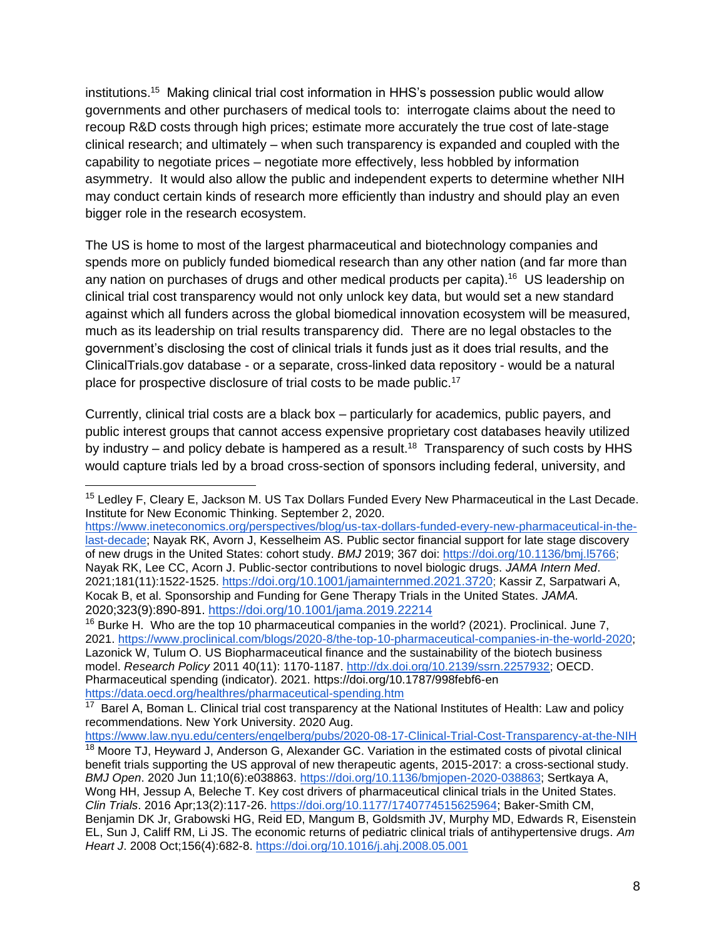institutions.<sup>15</sup> Making clinical trial cost information in HHS's possession public would allow governments and other purchasers of medical tools to: interrogate claims about the need to recoup R&D costs through high prices; estimate more accurately the true cost of late-stage clinical research; and ultimately – when such transparency is expanded and coupled with the capability to negotiate prices – negotiate more effectively, less hobbled by information asymmetry. It would also allow the public and independent experts to determine whether NIH may conduct certain kinds of research more efficiently than industry and should play an even bigger role in the research ecosystem.

The US is home to most of the largest pharmaceutical and biotechnology companies and spends more on publicly funded biomedical research than any other nation (and far more than any nation on purchases of drugs and other medical products per capita).<sup>16</sup> US leadership on clinical trial cost transparency would not only unlock key data, but would set a new standard against which all funders across the global biomedical innovation ecosystem will be measured, much as its leadership on trial results transparency did. There are no legal obstacles to the government's disclosing the cost of clinical trials it funds just as it does trial results, and the ClinicalTrials.gov database - or a separate, cross-linked data repository - would be a natural place for prospective disclosure of trial costs to be made public.<sup>17</sup>

Currently, clinical trial costs are a black box – particularly for academics, public payers, and public interest groups that cannot access expensive proprietary cost databases heavily utilized by industry – and policy debate is hampered as a result.<sup>18</sup> Transparency of such costs by HHS would capture trials led by a broad cross-section of sponsors including federal, university, and

<sup>16</sup> Burke H. Who are the top 10 pharmaceutical companies in the world? (2021). Proclinical. June 7, 2021. [https://www.proclinical.com/blogs/2020-8/the-top-10-pharmaceutical-companies-in-the-world-2020;](https://www.proclinical.com/blogs/2020-8/the-top-10-pharmaceutical-companies-in-the-world-2020) Lazonick W, Tulum O. US Biopharmaceutical finance and the sustainability of the biotech business model. *Research Policy* 2011 40(11): 1170-1187. [http://dx.doi.org/10.2139/ssrn.2257932;](http://dx.doi.org/10.2139/ssrn.2257932) [OECD.](https://data.oecd.org/healthres/pharmaceutical-spending.htm)  [Pharmaceutical spending \(indicator\). 2021.](https://data.oecd.org/healthres/pharmaceutical-spending.htm) <https://doi.org/10.1787/998febf6-en> <https://data.oecd.org/healthres/pharmaceutical-spending.htm>

<sup>&</sup>lt;sup>15</sup> Ledlev F, Cleary E, Jackson M. US Tax Dollars Funded Every New Pharmaceutical in the Last Decade. Institute for New Economic Thinking. September 2, 2020.

[https://www.ineteconomics.org/perspectives/blog/us-tax-dollars-funded-every-new-pharmaceutical-in-the](https://www.ineteconomics.org/perspectives/blog/us-tax-dollars-funded-every-new-pharmaceutical-in-the-last-decade)[last-decade;](https://www.ineteconomics.org/perspectives/blog/us-tax-dollars-funded-every-new-pharmaceutical-in-the-last-decade) Nayak RK, Avorn J, Kesselheim AS. Public sector financial support for late stage discovery of new drugs in the United States: cohort study. *BMJ* 2019; 367 doi: [https://doi.org/10.1136/bmj.l5766;](https://doi.org/10.1136/bmj.l5766) Nayak RK, Lee CC, Acorn J. Public-sector contributions to novel biologic drugs. *JAMA Intern Med*. 2021;181(11):1522-1525. [https://](https://doi.org/10.1001/jamainternmed.2021.3720)[doi.org/10.1001/jamainternmed.2021.3720](https://doi.org/10.1001/jamainternmed.2021.3720); Kassir Z, Sarpatwari A, Kocak B, et al. Sponsorship and Funding for Gene Therapy Trials in the United States. *JAMA.*  2020;323(9):890-891. <https://doi.org/10.1001/jama.2019.22214>

<sup>&</sup>lt;sup>17</sup> Barel A, Boman L. Clinical trial cost transparency at the National Institutes of Health: Law and policy [recommendations. New York University. 2020 Aug.](https://www.law.nyu.edu/centers/engelberg/pubs/2020-08-17-Clinical-Trial-Cost-Transparency-at-the-NIH) 

<https://www.law.nyu.edu/centers/engelberg/pubs/2020-08-17-Clinical-Trial-Cost-Transparency-at-the-NIH> <sup>18</sup> Moore TJ, Heyward J, Anderson G, Alexander GC. Variation in the estimated costs of pivotal clinical

benefit trials supporting the US approval of new therapeutic agents, 2015-2017: a cross-sectional study. *BMJ Open*. 2020 Jun 11;10(6):e038863. [https://doi.org/10.1136/bmjopen-2020-038863;](https://doi.org/10.1136/bmjopen-2020-038863) Sertkaya A, Wong HH, Jessup A, Beleche T. Key cost drivers of pharmaceutical clinical trials in the United States. *Clin Trials*. 2016 Apr;13(2):117-26. [https://doi.org/10.1177/1740774515625964;](https://doi.org/10.1177/1740774515625964) Baker-Smith CM, Benjamin DK Jr, Grabowski HG, Reid ED, Mangum B, Goldsmith JV, Murphy MD, Edwards R, Eisenstein EL, Sun J, Califf RM, Li JS. The economic returns of pediatric clinical trials of antihypertensive drugs. *Am Heart J*. 2008 Oct;156(4):682-8.<https://doi.org/10.1016/j.ahj.2008.05.001>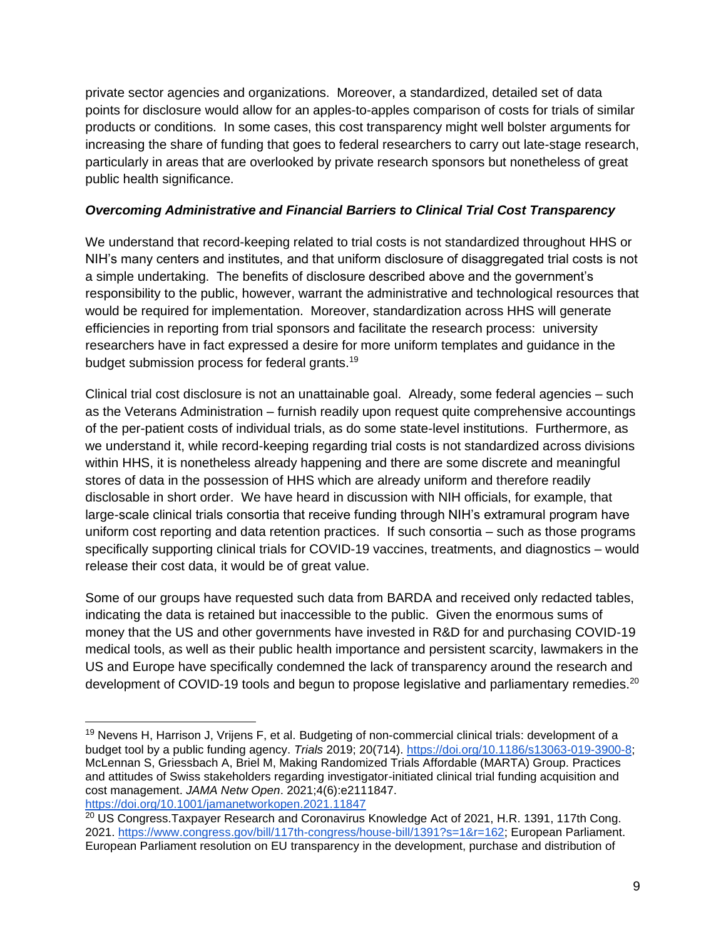private sector agencies and organizations. Moreover, a standardized, detailed set of data points for disclosure would allow for an apples-to-apples comparison of costs for trials of similar products or conditions. In some cases, this cost transparency might well bolster arguments for increasing the share of funding that goes to federal researchers to carry out late-stage research, particularly in areas that are overlooked by private research sponsors but nonetheless of great public health significance.

#### *Overcoming Administrative and Financial Barriers to Clinical Trial Cost Transparency*

We understand that record-keeping related to trial costs is not standardized throughout HHS or NIH's many centers and institutes, and that uniform disclosure of disaggregated trial costs is not a simple undertaking. The benefits of disclosure described above and the government's responsibility to the public, however, warrant the administrative and technological resources that would be required for implementation. Moreover, standardization across HHS will generate efficiencies in reporting from trial sponsors and facilitate the research process: university researchers have in fact expressed a desire for more uniform templates and guidance in the budget submission process for federal grants.<sup>19</sup>

Clinical trial cost disclosure is not an unattainable goal. Already, some federal agencies – such as the Veterans Administration – furnish readily upon request quite comprehensive accountings of the per-patient costs of individual trials, as do some state-level institutions. Furthermore, as we understand it, while record-keeping regarding trial costs is not standardized across divisions within HHS, it is nonetheless already happening and there are some discrete and meaningful stores of data in the possession of HHS which are already uniform and therefore readily disclosable in short order. We have heard in discussion with NIH officials, for example, that large-scale clinical trials consortia that receive funding through NIH's extramural program have uniform cost reporting and data retention practices. If such consortia – such as those programs specifically supporting clinical trials for COVID-19 vaccines, treatments, and diagnostics – would release their cost data, it would be of great value.

Some of our groups have requested such data from BARDA and received only redacted tables, indicating the data is retained but inaccessible to the public. Given the enormous sums of money that the US and other governments have invested in R&D for and purchasing COVID-19 medical tools, as well as their public health importance and persistent scarcity, lawmakers in the US and Europe have specifically condemned the lack of transparency around the research and development of COVID-19 tools and begun to propose legislative and parliamentary remedies.<sup>20</sup>

<sup>&</sup>lt;sup>19</sup> Nevens H, Harrison J, Vrijens F, et al. Budgeting of non-commercial clinical trials: development of a budget tool by a public funding agency. *Trials* 2019; 20(714). [https://doi.org/10.1186/s13063-019-3900-8;](https://doi.org/10.1186/s13063-019-3900-8) McLennan S, Griessbach A, Briel M, Making Randomized Trials Affordable (MARTA) Group. Practices and attitudes of Swiss stakeholders regarding investigator-initiated clinical trial funding acquisition and cost management. *JAMA Netw Open*. 2021;4(6):e2111847. <https://doi.org/10.1001/jamanetworkopen.2021.11847>

<sup>&</sup>lt;sup>20</sup> US Congress.Taxpayer Research and Coronavirus Knowledge Act of 2021, H.R. 1391, 117th Cong. 2021. [https://www.congress.gov/bill/117th-congress/house-bill/1391?s=1&r=162;](https://www.congress.gov/bill/117th-congress/house-bill/1391?s=1&r=162) [European Parliament.](https://www.europarl.europa.eu/doceo/document/B-9-2021-0519_EN.html)  [European Parliament resolution on EU transparency in the development, purchase and distribution of](https://www.europarl.europa.eu/doceo/document/B-9-2021-0519_EN.html)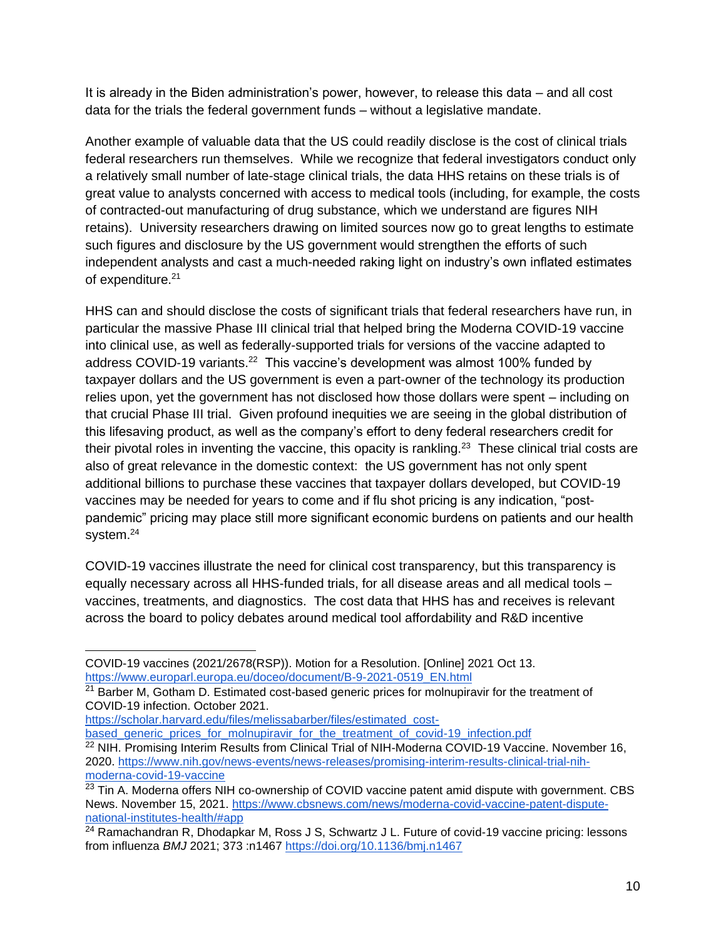It is already in the Biden administration's power, however, to release this data – and all cost data for the trials the federal government funds – without a legislative mandate.

Another example of valuable data that the US could readily disclose is the cost of clinical trials federal researchers run themselves. While we recognize that federal investigators conduct only a relatively small number of late-stage clinical trials, the data HHS retains on these trials is of great value to analysts concerned with access to medical tools (including, for example, the costs of contracted-out manufacturing of drug substance, which we understand are figures NIH retains). University researchers drawing on limited sources now go to great lengths to estimate such figures and disclosure by the US government would strengthen the efforts of such independent analysts and cast a much-needed raking light on industry's own inflated estimates of expenditure.<sup>21</sup>

HHS can and should disclose the costs of significant trials that federal researchers have run, in particular the massive Phase III clinical trial that helped bring the Moderna COVID-19 vaccine into clinical use, as well as federally-supported trials for versions of the vaccine adapted to address COVID-19 variants.<sup>22</sup> This vaccine's development was almost 100% funded by taxpayer dollars and the US government is even a part-owner of the technology its production relies upon, yet the government has not disclosed how those dollars were spent – including on that crucial Phase III trial. Given profound inequities we are seeing in the global distribution of this lifesaving product, as well as the company's effort to deny federal researchers credit for their pivotal roles in inventing the vaccine, this opacity is rankling.<sup>23</sup> These clinical trial costs are also of great relevance in the domestic context: the US government has not only spent additional billions to purchase these vaccines that taxpayer dollars developed, but COVID-19 vaccines may be needed for years to come and if flu shot pricing is any indication, "postpandemic" pricing may place still more significant economic burdens on patients and our health system.<sup>24</sup>

COVID-19 vaccines illustrate the need for clinical cost transparency, but this transparency is equally necessary across all HHS-funded trials, for all disease areas and all medical tools – vaccines, treatments, and diagnostics. The cost data that HHS has and receives is relevant across the board to policy debates around medical tool affordability and R&D incentive

[https://scholar.harvard.edu/files/melissabarber/files/estimated\\_cost-](https://scholar.harvard.edu/files/melissabarber/files/estimated_cost-based_generic_prices_for_molnupiravir_for_the_treatment_of_covid-19_infection.pdf)

based generic prices for molnupiravir for the treatment of covid-19 infection.pdf <sup>22</sup> NIH. Promising Interim Results from Clinical Trial of NIH-Moderna COVID-19 Vaccine. November 16,

[COVID-19 vaccines \(2021/2678\(RSP\)\). Motion for a Resolution. \[Online\] 2021 Oct 13.](https://www.europarl.europa.eu/doceo/document/B-9-2021-0519_EN.html)  [https://www.europarl.europa.eu/doceo/document/B-9-2021-0519\\_EN.html](https://www.europarl.europa.eu/doceo/document/B-9-2021-0519_EN.html)

<sup>&</sup>lt;sup>21</sup> Barber M, Gotham D. Estimated cost-based generic prices for molnupiravir for the treatment of COVID-19 infection. October 2021.

<sup>2020.</sup> [https://www.nih.gov/news-events/news-releases/promising-interim-results-clinical-trial-nih](https://www.nih.gov/news-events/news-releases/promising-interim-results-clinical-trial-nih-moderna-covid-19-vaccine)[moderna-covid-19-vaccine](https://www.nih.gov/news-events/news-releases/promising-interim-results-clinical-trial-nih-moderna-covid-19-vaccine)

 $23$  Tin A. Moderna offers NIH co-ownership of COVID vaccine patent amid dispute with government. CBS News. November 15, 2021. [https://www.cbsnews.com/news/moderna-covid-vaccine-patent-dispute](https://www.cbsnews.com/news/moderna-covid-vaccine-patent-dispute-national-institutes-health/#app)[national-institutes-health/#app](https://www.cbsnews.com/news/moderna-covid-vaccine-patent-dispute-national-institutes-health/#app)

<sup>24</sup> Ramachandran R, Dhodapkar M, Ross J S, Schwartz J L. Future of covid-19 vaccine pricing: lessons from influenza *BMJ* 2021; 373 :n1467<https://doi.org/10.1136/bmj.n1467>